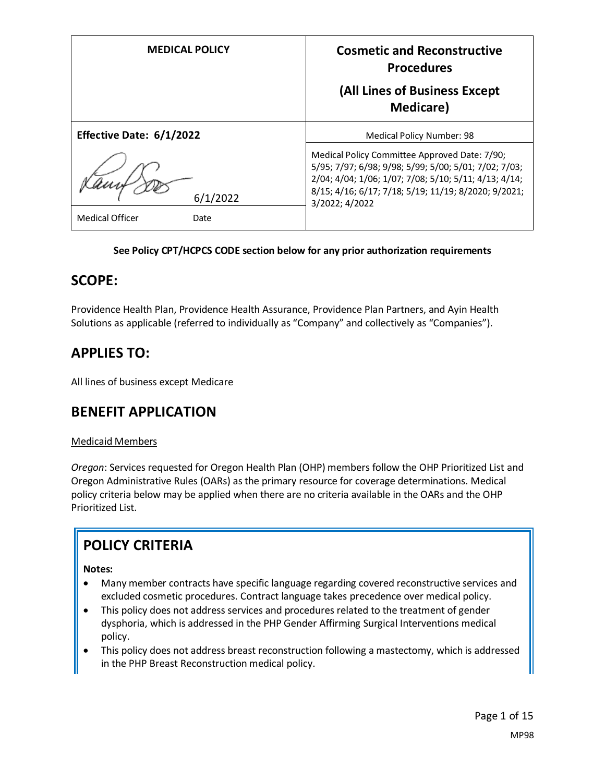| <b>MEDICAL POLICY</b>                      | <b>Cosmetic and Reconstructive</b><br><b>Procedures</b><br>(All Lines of Business Except<br><b>Medicare</b> )                                                                                                                             |
|--------------------------------------------|-------------------------------------------------------------------------------------------------------------------------------------------------------------------------------------------------------------------------------------------|
| Effective Date: 6/1/2022                   | <b>Medical Policy Number: 98</b>                                                                                                                                                                                                          |
| 6/1/2022<br><b>Medical Officer</b><br>Date | Medical Policy Committee Approved Date: 7/90;<br>5/95; 7/97; 6/98; 9/98; 5/99; 5/00; 5/01; 7/02; 7/03;<br>2/04; 4/04; 1/06; 1/07; 7/08; 5/10; 5/11; 4/13; 4/14;<br>8/15; 4/16; 6/17; 7/18; 5/19; 11/19; 8/2020; 9/2021;<br>3/2022; 4/2022 |

#### **See Policy CPT/HCPCS CODE section below for any prior authorization requirements**

#### **SCOPE:**

Providence Health Plan, Providence Health Assurance, Providence Plan Partners, and Ayin Health Solutions as applicable (referred to individually as "Company" and collectively as "Companies").

## **APPLIES TO:**

All lines of business except Medicare

#### **BENEFIT APPLICATION**

#### Medicaid Members

*Oregon*: Services requested for Oregon Health Plan (OHP) members follow the OHP Prioritized List and Oregon Administrative Rules (OARs) as the primary resource for coverage determinations. Medical policy criteria below may be applied when there are no criteria available in the OARs and the OHP Prioritized List.

# **POLICY CRITERIA**

**Notes:**

- Many member contracts have specific language regarding covered reconstructive services and excluded cosmetic procedures. Contract language takes precedence over medical policy.
- This policy does not address services and procedures related to the treatment of gender dysphoria, which is addressed in the PHP Gender Affirming Surgical Interventions medical policy.
- This policy does not address breast reconstruction following a mastectomy, which is addressed in the PHP Breast Reconstruction medical policy.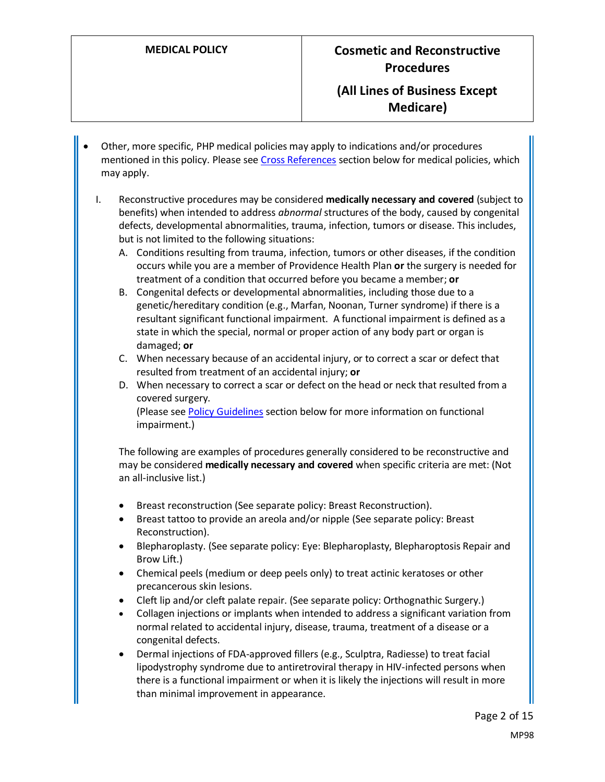#### **(All Lines of Business Except Medicare)**

- Other, more specific, PHP medical policies may apply to indications and/or procedures mentioned in this policy. Please see [Cross References](#page-12-0) section below for medical policies, which may apply.
	- I. Reconstructive procedures may be considered **medically necessary and covered** (subject to benefits) when intended to address *abnormal* structures of the body, caused by congenital defects, developmental abnormalities, trauma, infection, tumors or disease. This includes, but is not limited to the following situations:
		- A. Conditions resulting from trauma, infection, tumors or other diseases, if the condition occurs while you are a member of Providence Health Plan **or** the surgery is needed for treatment of a condition that occurred before you became a member; **or**
		- B. Congenital defects or developmental abnormalities, including those due to a genetic/hereditary condition (e.g., Marfan, Noonan, Turner syndrome) if there is a resultant significant functional impairment. A functional impairment is defined as a state in which the special, normal or proper action of any body part or organ is damaged; **or**
		- C. When necessary because of an accidental injury, or to correct a scar or defect that resulted from treatment of an accidental injury; **or**
		- D. When necessary to correct a scar or defect on the head or neck that resulted from a covered surgery.

(Please see [Policy Guidelines](#page-4-0) section below for more information on functional impairment.)

The following are examples of procedures generally considered to be reconstructive and may be considered **medically necessary and covered** when specific criteria are met: (Not an all-inclusive list.)

- Breast reconstruction (See separate policy: Breast Reconstruction).
- Breast tattoo to provide an areola and/or nipple (See separate policy: Breast Reconstruction).
- Blepharoplasty. (See separate policy: Eye: Blepharoplasty, Blepharoptosis Repair and Brow Lift.)
- Chemical peels (medium or deep peels only) to treat actinic keratoses or other precancerous skin lesions.
- Cleft lip and/or cleft palate repair. (See separate policy: Orthognathic Surgery.)
- Collagen injections or implants when intended to address a significant variation from normal related to accidental injury, disease, trauma, treatment of a disease or a congenital defects.
- Dermal injections of FDA-approved fillers (e.g., Sculptra, Radiesse) to treat facial lipodystrophy syndrome due to antiretroviral therapy in HIV-infected persons when there is a functional impairment or when it is likely the injections will result in more than minimal improvement in appearance.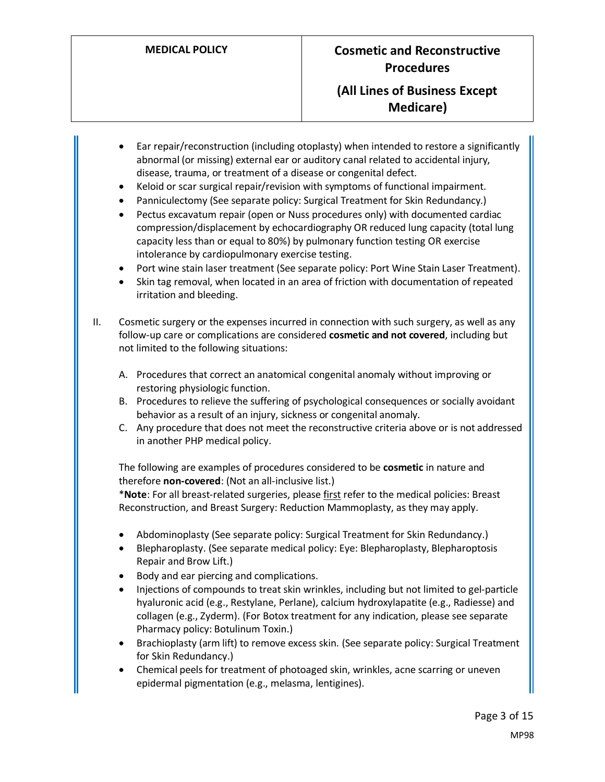### **(All Lines of Business Except Medicare)**

- Ear repair/reconstruction (including otoplasty) when intended to restore a significantly abnormal (or missing) external ear or auditory canal related to accidental injury, disease, trauma, or treatment of a disease or congenital defect.
- Keloid or scar surgical repair/revision with symptoms of functional impairment.
- Panniculectomy (See separate policy: Surgical Treatment for Skin Redundancy.)
- Pectus excavatum repair (open or Nuss procedures only) with documented cardiac compression/displacement by echocardiography OR reduced lung capacity (total lung capacity less than or equal to 80%) by pulmonary function testing OR exercise intolerance by cardiopulmonary exercise testing.
- Port wine stain laser treatment (See separate policy: Port Wine Stain Laser Treatment).
- Skin tag removal, when located in an area of friction with documentation of repeated irritation and bleeding.
- II. Cosmetic surgery or the expenses incurred in connection with such surgery, as well as any follow-up care or complications are considered **cosmetic and not covered**, including but not limited to the following situations:
	- A. Procedures that correct an anatomical congenital anomaly without improving or restoring physiologic function.
	- B. Procedures to relieve the suffering of psychological consequences or socially avoidant behavior as a result of an injury, sickness or congenital anomaly.
	- C. Any procedure that does not meet the reconstructive criteria above or is not addressed in another PHP medical policy.

The following are examples of procedures considered to be **cosmetic** in nature and therefore **non-covered**: (Not an all-inclusive list.)

\***Note**: For all breast-related surgeries, please first refer to the medical policies: Breast Reconstruction, and Breast Surgery: Reduction Mammoplasty, as they may apply.

- Abdominoplasty (See separate policy: Surgical Treatment for Skin Redundancy.)
- Blepharoplasty. (See separate medical policy: Eye: Blepharoplasty, Blepharoptosis Repair and Brow Lift.)
- Body and ear piercing and complications.
- Injections of compounds to treat skin wrinkles, including but not limited to gel-particle hyaluronic acid (e.g., Restylane, Perlane), calcium hydroxylapatite (e.g., Radiesse) and collagen (e.g., Zyderm). (For Botox treatment for any indication, please see separate Pharmacy policy: Botulinum Toxin.)
- Brachioplasty (arm lift) to remove excess skin. (See separate policy: Surgical Treatment for Skin Redundancy.)
- Chemical peels for treatment of photoaged skin, wrinkles, acne scarring or uneven epidermal pigmentation (e.g., melasma, lentigines).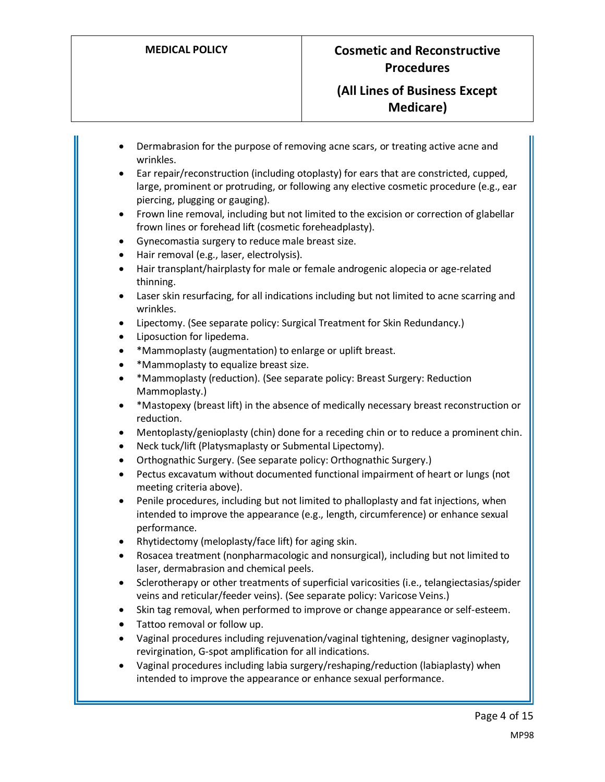- Dermabrasion for the purpose of removing acne scars, or treating active acne and wrinkles.
- Ear repair/reconstruction (including otoplasty) for ears that are constricted, cupped, large, prominent or protruding, or following any elective cosmetic procedure (e.g., ear piercing, plugging or gauging).
- Frown line removal, including but not limited to the excision or correction of glabellar frown lines or forehead lift (cosmetic foreheadplasty).
- Gynecomastia surgery to reduce male breast size.
- Hair removal (e.g., laser, electrolysis).
- Hair transplant/hairplasty for male or female androgenic alopecia or age-related thinning.
- Laser skin resurfacing, for all indications including but not limited to acne scarring and wrinkles.
- Lipectomy. (See separate policy: Surgical Treatment for Skin Redundancy.)
- Liposuction for lipedema.
- \*Mammoplasty (augmentation) to enlarge or uplift breast.
- \*Mammoplasty to equalize breast size.
- \*Mammoplasty (reduction). (See separate policy: Breast Surgery: Reduction Mammoplasty.)
- \*Mastopexy (breast lift) in the absence of medically necessary breast reconstruction or reduction.
- Mentoplasty/genioplasty (chin) done for a receding chin or to reduce a prominent chin.
- Neck tuck/lift (Platysmaplasty or Submental Lipectomy).
- Orthognathic Surgery. (See separate policy: Orthognathic Surgery.)
- Pectus excavatum without documented functional impairment of heart or lungs (not meeting criteria above).
- Penile procedures, including but not limited to phalloplasty and fat injections, when intended to improve the appearance (e.g., length, circumference) or enhance sexual performance.
- Rhytidectomy (meloplasty/face lift) for aging skin.
- Rosacea treatment (nonpharmacologic and nonsurgical), including but not limited to laser, dermabrasion and chemical peels.
- Sclerotherapy or other treatments of superficial varicosities (i.e., telangiectasias/spider veins and reticular/feeder veins). (See separate policy: Varicose Veins.)
- Skin tag removal, when performed to improve or change appearance or self-esteem.
- Tattoo removal or follow up.
- Vaginal procedures including rejuvenation/vaginal tightening, designer vaginoplasty, revirgination, G-spot amplification for all indications.
- Vaginal procedures including labia surgery/reshaping/reduction (labiaplasty) when intended to improve the appearance or enhance sexual performance.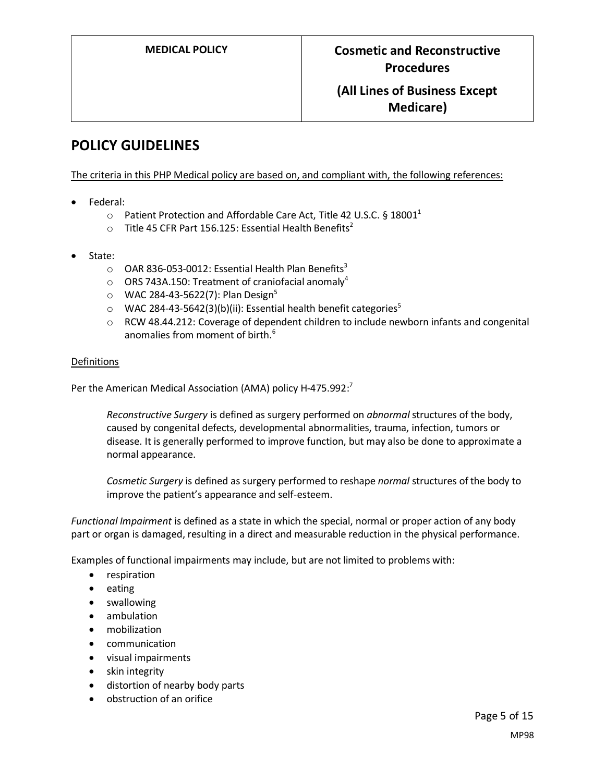# **POLICY GUIDELINES**

The criteria in this PHP Medical policy are based on, and compliant with, the following references:

- Federal:
	- $\circ$  Patient Protection and Affordable Care Act, Title 42 U.S.C. § 18001<sup>1</sup>
	- $\circ$  Title 45 CFR Part 156.125: Essential Health Benefits<sup>2</sup>
- State:
	- $\circ$  OAR 836-053-0012: Essential Health Plan Benefits<sup>3</sup>
	- $\circ$  ORS 743A.150: Treatment of craniofacial anomaly<sup>4</sup>
	- $\circ$  WAC 284-43-5622(7): Plan Design<sup>5</sup>
	- $\circ$  WAC 284-43-5642(3)(b)(ii): Essential health benefit categories<sup>5</sup>
	- $\circ$  RCW 48.44.212: Coverage of dependent children to include newborn infants and congenital anomalies from moment of birth. 6

#### Definitions

Per the American Medical Association (AMA) policy H-475.992:<sup>7</sup>

*Reconstructive Surgery* is defined as surgery performed on *abnormal* structures of the body, caused by congenital defects, developmental abnormalities, trauma, infection, tumors or disease. It is generally performed to improve function, but may also be done to approximate a normal appearance.

*Cosmetic Surgery* is defined as surgery performed to reshape *normal* structures of the body to improve the patient's appearance and self-esteem.

<span id="page-4-0"></span>*Functional Impairment* is defined as a state in which the special, normal or proper action of any body part or organ is damaged, resulting in a direct and measurable reduction in the physical performance.

Examples of functional impairments may include, but are not limited to problems with:

- respiration
- eating
- swallowing
- ambulation
- mobilization
- communication
- visual impairments
- skin integrity
- distortion of nearby body parts
- obstruction of an orifice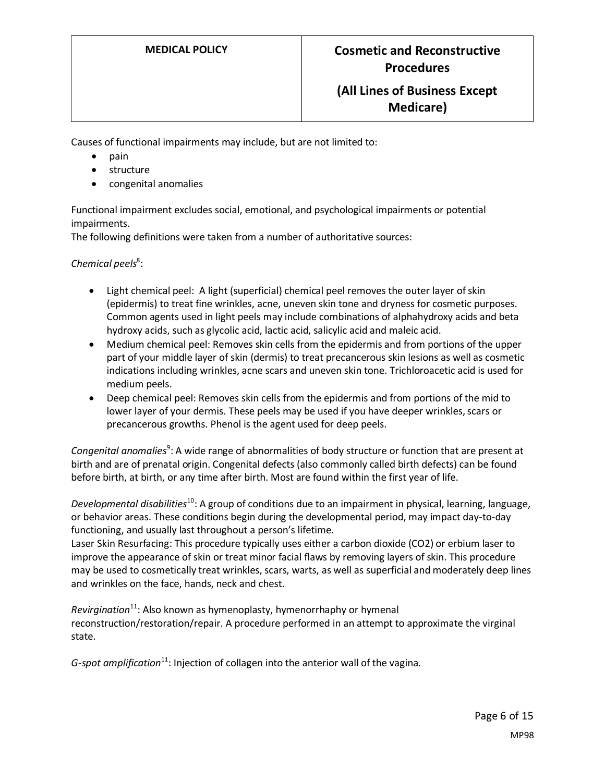Causes of functional impairments may include, but are not limited to:

- pain
- **structure**
- congenital anomalies

Functional impairment excludes social, emotional, and psychological impairments or potential impairments.

The following definitions were taken from a number of authoritative sources:

Chemical peels<sup>8</sup>:

- Light chemical peel: A light (superficial) chemical peel removes the outer layer of skin (epidermis) to treat fine wrinkles, acne, uneven skin tone and dryness for cosmetic purposes. Common agents used in light peels may include combinations of alphahydroxy acids and beta hydroxy acids, such as glycolic acid, lactic acid, salicylic acid and maleic acid.
- Medium chemical peel: Removes skin cells from the epidermis and from portions of the upper part of your middle layer of skin (dermis) to treat precancerous skin lesions as well as cosmetic indications including wrinkles, acne scars and uneven skin tone. Trichloroacetic acid is used for medium peels.
- Deep chemical peel: Removes skin cells from the epidermis and from portions of the mid to lower layer of your dermis. These peels may be used if you have deeper wrinkles, scars or precancerous growths. Phenol is the agent used for deep peels.

Congenital anomalies<sup>9</sup>: A wide range of abnormalities of body structure or function that are present at birth and are of prenatal origin. Congenital defects (also commonly called birth defects) can be found before birth, at birth, or any time after birth. Most are found within the first year of life.

*Developmental disabilities*<sup>10</sup>: A group of conditions due to an impairment in physical, learning, language, or behavior areas. These conditions begin during the developmental period, may impact day-to-day functioning, and usually last throughout a person's lifetime.

Laser Skin Resurfacing: This procedure typically uses either a carbon dioxide (CO2) or erbium laser to improve the appearance of skin or treat minor facial flaws by removing layers of skin. This procedure may be used to cosmetically treat wrinkles, scars, warts, as well as superficial and moderately deep lines and wrinkles on the face, hands, neck and chest.

*Revirgination*<sup>11</sup>: Also known as hymenoplasty, hymenorrhaphy or hymenal reconstruction/restoration/repair. A procedure performed in an attempt to approximate the virginal state.

*G-spot amplification*<sup>11</sup>: Injection of collagen into the anterior wall of the vagina.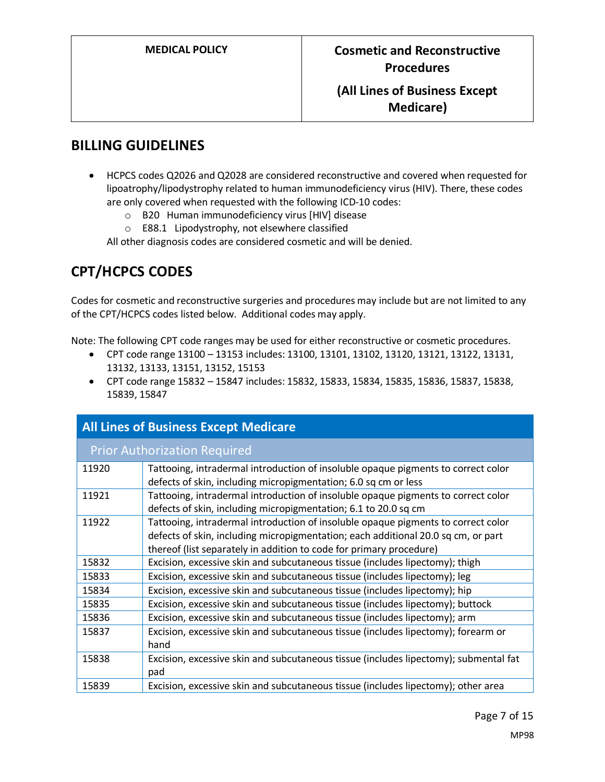### **BILLING GUIDELINES**

- HCPCS codes Q2026 and Q2028 are considered reconstructive and covered when requested for lipoatrophy/lipodystrophy related to human immunodeficiency virus (HIV). There, these codes are only covered when requested with the following ICD-10 codes:
	- o B20 Human immunodeficiency virus [HIV] disease
	- o E88.1 Lipodystrophy, not elsewhere classified

All other diagnosis codes are considered cosmetic and will be denied.

# **CPT/HCPCS CODES**

Codes for cosmetic and reconstructive surgeries and procedures may include but are not limited to any of the CPT/HCPCS codes listed below. Additional codes may apply.

Note: The following CPT code ranges may be used for either reconstructive or cosmetic procedures.

- CPT code range 13100 13153 includes: 13100, 13101, 13102, 13120, 13121, 13122, 13131, 13132, 13133, 13151, 13152, 15153
- CPT code range 15832 15847 includes: 15832, 15833, 15834, 15835, 15836, 15837, 15838, 15839, 15847

| <b>All Lines of Business Except Medicare</b> |                                                                                                                                                                                                                                               |  |
|----------------------------------------------|-----------------------------------------------------------------------------------------------------------------------------------------------------------------------------------------------------------------------------------------------|--|
| <b>Prior Authorization Required</b>          |                                                                                                                                                                                                                                               |  |
| 11920                                        | Tattooing, intradermal introduction of insoluble opaque pigments to correct color<br>defects of skin, including micropigmentation; 6.0 sq cm or less                                                                                          |  |
| 11921                                        | Tattooing, intradermal introduction of insoluble opaque pigments to correct color<br>defects of skin, including micropigmentation; 6.1 to 20.0 sq cm                                                                                          |  |
| 11922                                        | Tattooing, intradermal introduction of insoluble opaque pigments to correct color<br>defects of skin, including micropigmentation; each additional 20.0 sq cm, or part<br>thereof (list separately in addition to code for primary procedure) |  |
| 15832                                        | Excision, excessive skin and subcutaneous tissue (includes lipectomy); thigh                                                                                                                                                                  |  |
| 15833                                        | Excision, excessive skin and subcutaneous tissue (includes lipectomy); leg                                                                                                                                                                    |  |
| 15834                                        | Excision, excessive skin and subcutaneous tissue (includes lipectomy); hip                                                                                                                                                                    |  |
| 15835                                        | Excision, excessive skin and subcutaneous tissue (includes lipectomy); buttock                                                                                                                                                                |  |
| 15836                                        | Excision, excessive skin and subcutaneous tissue (includes lipectomy); arm                                                                                                                                                                    |  |
| 15837                                        | Excision, excessive skin and subcutaneous tissue (includes lipectomy); forearm or<br>hand                                                                                                                                                     |  |
| 15838                                        | Excision, excessive skin and subcutaneous tissue (includes lipectomy); submental fat<br>pad                                                                                                                                                   |  |
| 15839                                        | Excision, excessive skin and subcutaneous tissue (includes lipectomy); other area                                                                                                                                                             |  |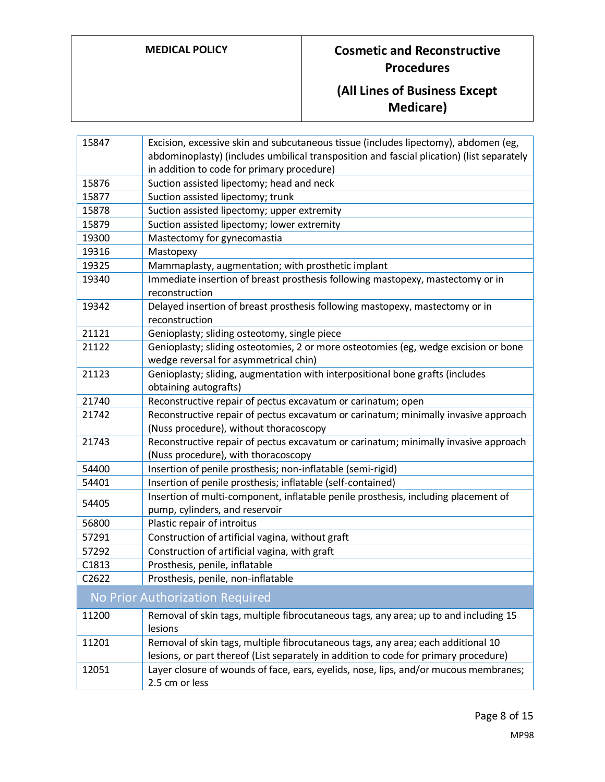# **(All Lines of Business Except Medicare)**

| 15847                           | Excision, excessive skin and subcutaneous tissue (includes lipectomy), abdomen (eg,                                  |
|---------------------------------|----------------------------------------------------------------------------------------------------------------------|
|                                 | abdominoplasty) (includes umbilical transposition and fascial plication) (list separately                            |
|                                 | in addition to code for primary procedure)                                                                           |
| 15876                           | Suction assisted lipectomy; head and neck                                                                            |
| 15877                           | Suction assisted lipectomy; trunk                                                                                    |
| 15878                           | Suction assisted lipectomy; upper extremity                                                                          |
| 15879                           | Suction assisted lipectomy; lower extremity                                                                          |
| 19300                           | Mastectomy for gynecomastia                                                                                          |
| 19316                           | Mastopexy                                                                                                            |
| 19325                           | Mammaplasty, augmentation; with prosthetic implant                                                                   |
| 19340                           | Immediate insertion of breast prosthesis following mastopexy, mastectomy or in<br>reconstruction                     |
| 19342                           | Delayed insertion of breast prosthesis following mastopexy, mastectomy or in                                         |
|                                 | reconstruction                                                                                                       |
| 21121                           | Genioplasty; sliding osteotomy, single piece                                                                         |
| 21122                           | Genioplasty; sliding osteotomies, 2 or more osteotomies (eg, wedge excision or bone                                  |
|                                 | wedge reversal for asymmetrical chin)                                                                                |
| 21123                           | Genioplasty; sliding, augmentation with interpositional bone grafts (includes                                        |
|                                 | obtaining autografts)                                                                                                |
| 21740                           | Reconstructive repair of pectus excavatum or carinatum; open                                                         |
| 21742                           | Reconstructive repair of pectus excavatum or carinatum; minimally invasive approach                                  |
|                                 | (Nuss procedure), without thoracoscopy                                                                               |
| 21743                           | Reconstructive repair of pectus excavatum or carinatum; minimally invasive approach                                  |
|                                 | (Nuss procedure), with thoracoscopy                                                                                  |
| 54400                           | Insertion of penile prosthesis; non-inflatable (semi-rigid)                                                          |
| 54401                           | Insertion of penile prosthesis; inflatable (self-contained)                                                          |
| 54405                           | Insertion of multi-component, inflatable penile prosthesis, including placement of<br>pump, cylinders, and reservoir |
| 56800                           | Plastic repair of introitus                                                                                          |
| 57291                           | Construction of artificial vagina, without graft                                                                     |
| 57292                           | Construction of artificial vagina, with graft                                                                        |
| C1813                           | Prosthesis, penile, inflatable                                                                                       |
| C2622                           | Prosthesis, penile, non-inflatable                                                                                   |
| No Prior Authorization Required |                                                                                                                      |
| 11200                           | Removal of skin tags, multiple fibrocutaneous tags, any area; up to and including 15                                 |
|                                 | lesions                                                                                                              |
| 11201                           | Removal of skin tags, multiple fibrocutaneous tags, any area; each additional 10                                     |
|                                 | lesions, or part thereof (List separately in addition to code for primary procedure)                                 |
| 12051                           | Layer closure of wounds of face, ears, eyelids, nose, lips, and/or mucous membranes;                                 |
|                                 | 2.5 cm or less                                                                                                       |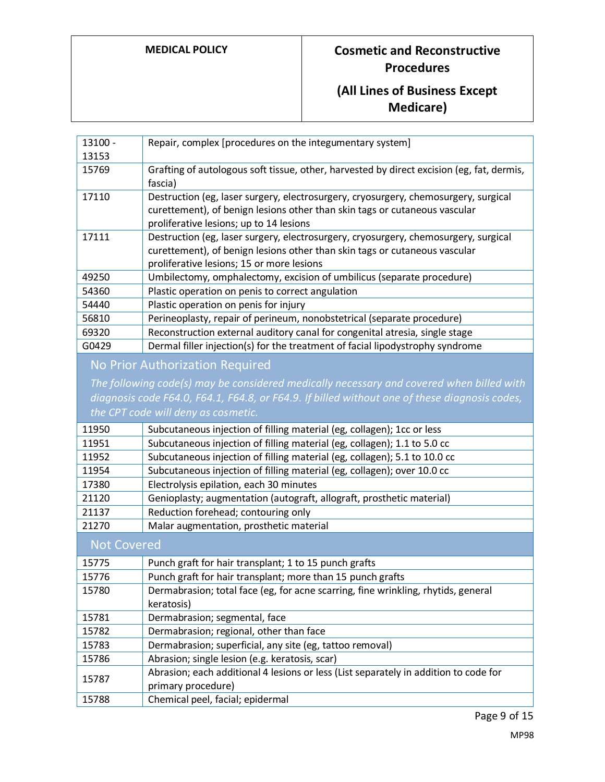# **(All Lines of Business Except Medicare)**

| 13100 -                         | Repair, complex [procedures on the integumentary system]                                                                                                                                                       |  |
|---------------------------------|----------------------------------------------------------------------------------------------------------------------------------------------------------------------------------------------------------------|--|
| 13153                           |                                                                                                                                                                                                                |  |
| 15769                           | Grafting of autologous soft tissue, other, harvested by direct excision (eg, fat, dermis,<br>fascia)                                                                                                           |  |
| 17110                           | Destruction (eg, laser surgery, electrosurgery, cryosurgery, chemosurgery, surgical<br>curettement), of benign lesions other than skin tags or cutaneous vascular<br>proliferative lesions; up to 14 lesions   |  |
| 17111                           | Destruction (eg, laser surgery, electrosurgery, cryosurgery, chemosurgery, surgical<br>curettement), of benign lesions other than skin tags or cutaneous vascular<br>proliferative lesions; 15 or more lesions |  |
| 49250                           | Umbilectomy, omphalectomy, excision of umbilicus (separate procedure)                                                                                                                                          |  |
| 54360                           | Plastic operation on penis to correct angulation                                                                                                                                                               |  |
| 54440                           | Plastic operation on penis for injury                                                                                                                                                                          |  |
| 56810                           | Perineoplasty, repair of perineum, nonobstetrical (separate procedure)                                                                                                                                         |  |
| 69320                           | Reconstruction external auditory canal for congenital atresia, single stage                                                                                                                                    |  |
| G0429                           | Dermal filler injection(s) for the treatment of facial lipodystrophy syndrome                                                                                                                                  |  |
| No Prior Authorization Required |                                                                                                                                                                                                                |  |
|                                 | The following code(s) may be considered medically necessary and covered when billed with                                                                                                                       |  |
|                                 | diagnosis code F64.0, F64.1, F64.8, or F64.9. If billed without one of these diagnosis codes,                                                                                                                  |  |
|                                 | the CPT code will deny as cosmetic.                                                                                                                                                                            |  |
| 11950                           | Subcutaneous injection of filling material (eg, collagen); 1cc or less                                                                                                                                         |  |
| 11951                           | Subcutaneous injection of filling material (eg, collagen); 1.1 to 5.0 cc                                                                                                                                       |  |
| 11952                           | Subcutaneous injection of filling material (eg, collagen); 5.1 to 10.0 cc                                                                                                                                      |  |
| 11954                           | Subcutaneous injection of filling material (eg, collagen); over 10.0 cc                                                                                                                                        |  |
| 17380                           | Electrolysis epilation, each 30 minutes                                                                                                                                                                        |  |
| 21120                           | Genioplasty; augmentation (autograft, allograft, prosthetic material)                                                                                                                                          |  |
| 21137                           | Reduction forehead; contouring only                                                                                                                                                                            |  |
| 21270                           | Malar augmentation, prosthetic material                                                                                                                                                                        |  |
| <b>Not Covered</b>              |                                                                                                                                                                                                                |  |
| 15775                           | Punch graft for hair transplant; 1 to 15 punch grafts                                                                                                                                                          |  |
| 15776                           | Punch graft for hair transplant; more than 15 punch grafts                                                                                                                                                     |  |
| 15780                           | Dermabrasion; total face (eg, for acne scarring, fine wrinkling, rhytids, general<br>keratosis)                                                                                                                |  |
| 15781                           | Dermabrasion; segmental, face                                                                                                                                                                                  |  |
| 15782                           | Dermabrasion; regional, other than face                                                                                                                                                                        |  |
| 15783                           | Dermabrasion; superficial, any site (eg, tattoo removal)                                                                                                                                                       |  |
| 15786                           | Abrasion; single lesion (e.g. keratosis, scar)                                                                                                                                                                 |  |
| 15787                           | Abrasion; each additional 4 lesions or less (List separately in addition to code for<br>primary procedure)                                                                                                     |  |
| 15788                           | Chemical peel, facial; epidermal                                                                                                                                                                               |  |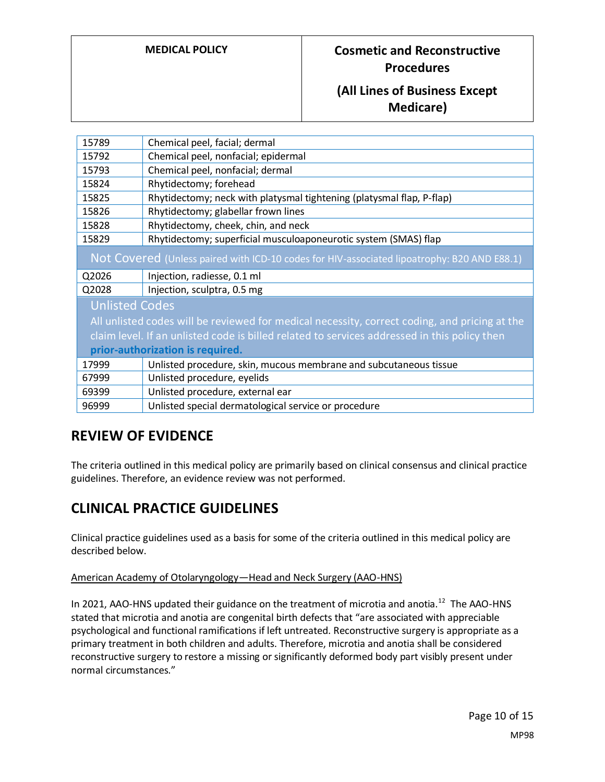## **(All Lines of Business Except Medicare)**

| 15789                                                                                         | Chemical peel, facial; dermal                                         |
|-----------------------------------------------------------------------------------------------|-----------------------------------------------------------------------|
| 15792                                                                                         | Chemical peel, nonfacial; epidermal                                   |
| 15793                                                                                         | Chemical peel, nonfacial; dermal                                      |
| 15824                                                                                         | Rhytidectomy; forehead                                                |
| 15825                                                                                         | Rhytidectomy; neck with platysmal tightening (platysmal flap, P-flap) |
| 15826                                                                                         | Rhytidectomy; glabellar frown lines                                   |
| 15828                                                                                         | Rhytidectomy, cheek, chin, and neck                                   |
| 15829                                                                                         | Rhytidectomy; superficial musculoaponeurotic system (SMAS) flap       |
| Not Covered (Unless paired with ICD-10 codes for HIV-associated lipoatrophy: B20 AND E88.1)   |                                                                       |
| Q2026                                                                                         | Injection, radiesse, 0.1 ml                                           |
| Q2028                                                                                         | Injection, sculptra, 0.5 mg                                           |
| <b>Unlisted Codes</b>                                                                         |                                                                       |
| All unlisted codes will be reviewed for medical necessity, correct coding, and pricing at the |                                                                       |
| claim level. If an unlisted code is billed related to services addressed in this policy then  |                                                                       |
| prior-authorization is required.                                                              |                                                                       |
| 17999                                                                                         | Unlisted procedure, skin, mucous membrane and subcutaneous tissue     |
| 67999                                                                                         | Unlisted procedure, eyelids                                           |
| 69399                                                                                         | Unlisted procedure, external ear                                      |
| 96999                                                                                         | Unlisted special dermatological service or procedure                  |

## **REVIEW OF EVIDENCE**

The criteria outlined in this medical policy are primarily based on clinical consensus and clinical practice guidelines. Therefore, an evidence review was not performed.

## **CLINICAL PRACTICE GUIDELINES**

Clinical practice guidelines used as a basis for some of the criteria outlined in this medical policy are described below.

#### American Academy of Otolaryngology—Head and Neck Surgery (AAO-HNS)

In 2021, AAO-HNS updated their guidance on the treatment of microtia and anotia.<sup>12</sup> The AAO-HNS stated that microtia and anotia are congenital birth defects that "are associated with appreciable psychological and functional ramifications if left untreated. Reconstructive surgery is appropriate as a primary treatment in both children and adults. Therefore, microtia and anotia shall be considered reconstructive surgery to restore a missing or significantly deformed body part visibly present under normal circumstances."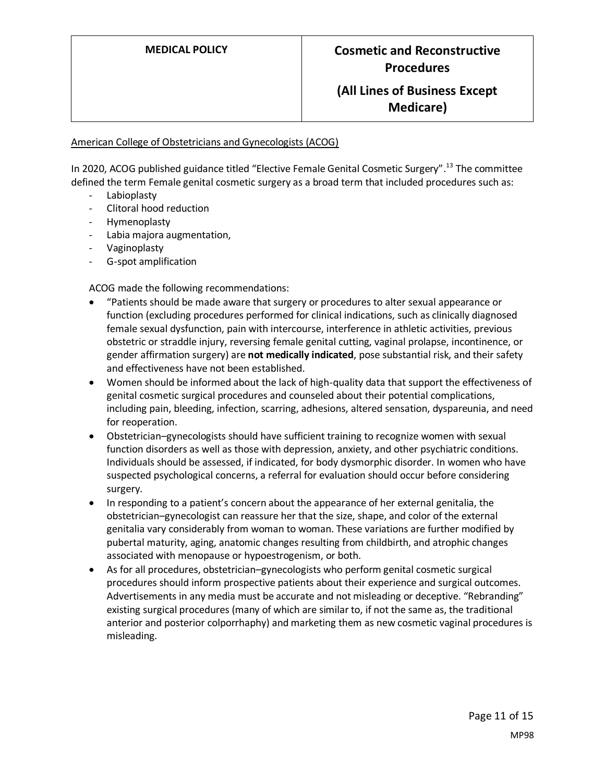#### American College of Obstetricians and Gynecologists (ACOG)

In 2020, ACOG published guidance titled "Elective Female Genital Cosmetic Surgery". <sup>13</sup> The committee defined the term Female genital cosmetic surgery as a broad term that included procedures such as:

- Labioplasty
- Clitoral hood reduction
- Hymenoplasty
- Labia majora augmentation,
- Vaginoplasty
- G-spot amplification

ACOG made the following recommendations:

- "Patients should be made aware that surgery or procedures to alter sexual appearance or function (excluding procedures performed for clinical indications, such as clinically diagnosed female sexual dysfunction, pain with intercourse, interference in athletic activities, previous obstetric or straddle injury, reversing female genital cutting, vaginal prolapse, incontinence, or gender affirmation surgery) are **not medically indicated**, pose substantial risk, and their safety and effectiveness have not been established.
- Women should be informed about the lack of high-quality data that support the effectiveness of genital cosmetic surgical procedures and counseled about their potential complications, including pain, bleeding, infection, scarring, adhesions, altered sensation, dyspareunia, and need for reoperation.
- Obstetrician–gynecologists should have sufficient training to recognize women with sexual function disorders as well as those with depression, anxiety, and other psychiatric conditions. Individuals should be assessed, if indicated, for body dysmorphic disorder. In women who have suspected psychological concerns, a referral for evaluation should occur before considering surgery.
- In responding to a patient's concern about the appearance of her external genitalia, the obstetrician–gynecologist can reassure her that the size, shape, and color of the external genitalia vary considerably from woman to woman. These variations are further modified by pubertal maturity, aging, anatomic changes resulting from childbirth, and atrophic changes associated with menopause or hypoestrogenism, or both.
- As for all procedures, obstetrician–gynecologists who perform genital cosmetic surgical procedures should inform prospective patients about their experience and surgical outcomes. Advertisements in any media must be accurate and not misleading or deceptive. "Rebranding" existing surgical procedures (many of which are similar to, if not the same as, the traditional anterior and posterior colporrhaphy) and marketing them as new cosmetic vaginal procedures is misleading.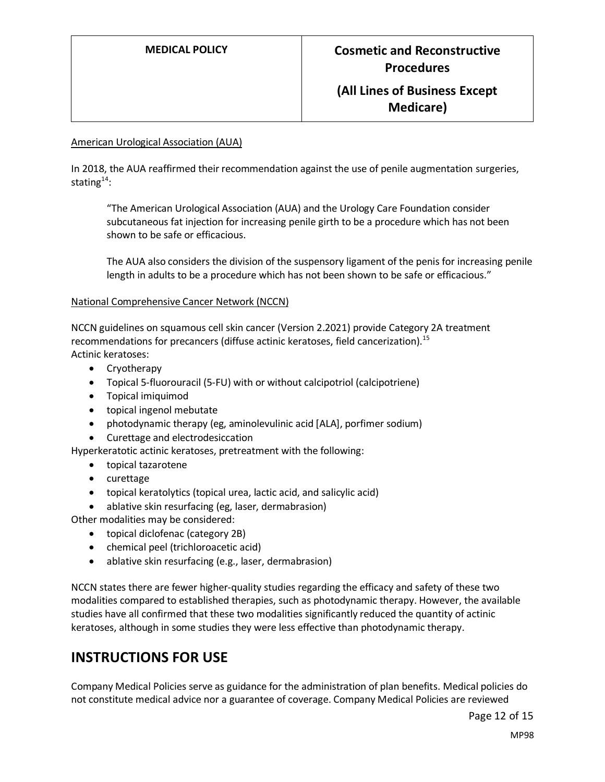#### American Urological Association (AUA)

In 2018, the AUA reaffirmed their recommendation against the use of penile augmentation surgeries, stating $14$ :

"The American Urological Association (AUA) and the Urology Care Foundation consider subcutaneous fat injection for increasing penile girth to be a procedure which has not been shown to be safe or efficacious.

The AUA also considers the division of the suspensory ligament of the penis for increasing penile length in adults to be a procedure which has not been shown to be safe or efficacious."

#### National Comprehensive Cancer Network (NCCN)

NCCN guidelines on squamous cell skin cancer (Version 2.2021) provide Category 2A treatment recommendations for precancers (diffuse actinic keratoses, field cancerization).<sup>15</sup> Actinic keratoses:

- Cryotherapy
- Topical 5-fluorouracil (5-FU) with or without calcipotriol (calcipotriene)
- Topical imiquimod
- topical ingenol mebutate
- photodynamic therapy (eg, aminolevulinic acid [ALA], porfimer sodium)
- Curettage and electrodesiccation

Hyperkeratotic actinic keratoses, pretreatment with the following:

- topical tazarotene
- curettage
- topical keratolytics (topical urea, lactic acid, and salicylic acid)
- ablative skin resurfacing (eg, laser, dermabrasion)

Other modalities may be considered:

- topical diclofenac (category 2B)
- chemical peel (trichloroacetic acid)
- ablative skin resurfacing (e.g., laser, dermabrasion)

NCCN states there are fewer higher-quality studies regarding the efficacy and safety of these two modalities compared to established therapies, such as photodynamic therapy. However, the available studies have all confirmed that these two modalities significantly reduced the quantity of actinic keratoses, although in some studies they were less effective than photodynamic therapy.

#### **INSTRUCTIONS FOR USE**

Company Medical Policies serve as guidance for the administration of plan benefits. Medical policies do not constitute medical advice nor a guarantee of coverage. Company Medical Policies are reviewed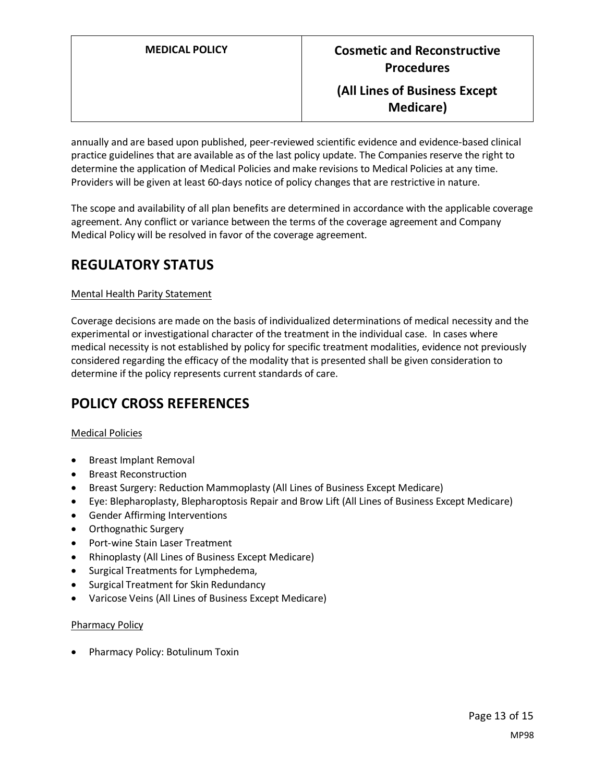annually and are based upon published, peer-reviewed scientific evidence and evidence-based clinical practice guidelines that are available as of the last policy update. The Companies reserve the right to determine the application of Medical Policies and make revisions to Medical Policies at any time. Providers will be given at least 60-days notice of policy changes that are restrictive in nature.

The scope and availability of all plan benefits are determined in accordance with the applicable coverage agreement. Any conflict or variance between the terms of the coverage agreement and Company Medical Policy will be resolved in favor of the coverage agreement.

# **REGULATORY STATUS**

#### Mental Health Parity Statement

Coverage decisions are made on the basis of individualized determinations of medical necessity and the experimental or investigational character of the treatment in the individual case. In cases where medical necessity is not established by policy for specific treatment modalities, evidence not previously considered regarding the efficacy of the modality that is presented shall be given consideration to determine if the policy represents current standards of care.

## <span id="page-12-0"></span>**POLICY CROSS REFERENCES**

#### Medical Policies

- Breast Implant Removal
- Breast Reconstruction
- Breast Surgery: Reduction Mammoplasty (All Lines of Business Except Medicare)
- Eye: Blepharoplasty, Blepharoptosis Repair and Brow Lift (All Lines of Business Except Medicare)
- Gender Affirming Interventions
- Orthognathic Surgery
- Port-wine Stain Laser Treatment
- Rhinoplasty (All Lines of Business Except Medicare)
- Surgical Treatments for Lymphedema,
- Surgical Treatment for Skin Redundancy
- Varicose Veins (All Lines of Business Except Medicare)

#### Pharmacy Policy

• Pharmacy Policy: Botulinum Toxin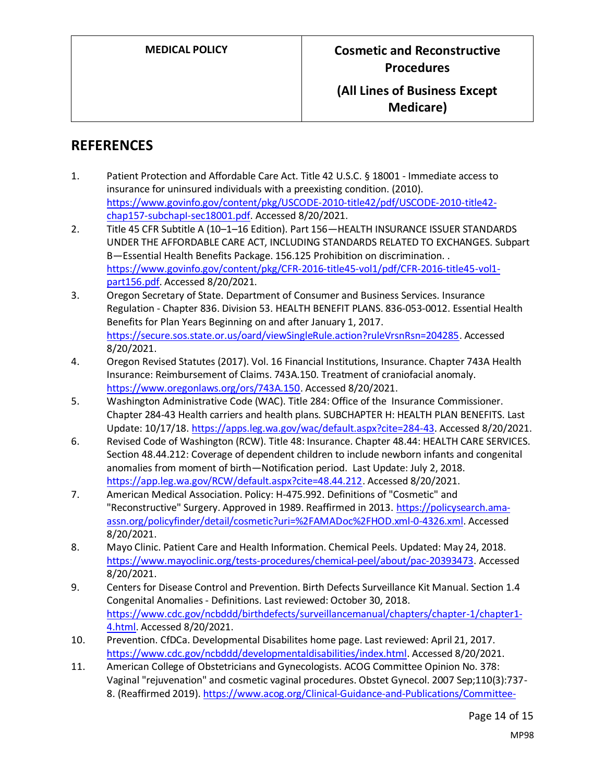## **REFERENCES**

- 1. Patient Protection and Affordable Care Act. Title 42 U.S.C. § 18001 Immediate access to insurance for uninsured individuals with a preexisting condition. (2010). [https://www.govinfo.gov/content/pkg/USCODE-2010-title42/pdf/USCODE-2010-title42](https://www.govinfo.gov/content/pkg/USCODE-2010-title42/pdf/USCODE-2010-title42-chap157-subchapI-sec18001.pdf) [chap157-subchapI-sec18001.pdf.](https://www.govinfo.gov/content/pkg/USCODE-2010-title42/pdf/USCODE-2010-title42-chap157-subchapI-sec18001.pdf) Accessed 8/20/2021.
- 2. Title 45 CFR Subtitle A (10–1–16 Edition). Part 156—HEALTH INSURANCE ISSUER STANDARDS UNDER THE AFFORDABLE CARE ACT, INCLUDING STANDARDS RELATED TO EXCHANGES. Subpart B—Essential Health Benefits Package. 156.125 Prohibition on discrimination. . [https://www.govinfo.gov/content/pkg/CFR-2016-title45-vol1/pdf/CFR-2016-title45-vol1](https://www.govinfo.gov/content/pkg/CFR-2016-title45-vol1/pdf/CFR-2016-title45-vol1-part156.pdf) [part156.pdf.](https://www.govinfo.gov/content/pkg/CFR-2016-title45-vol1/pdf/CFR-2016-title45-vol1-part156.pdf) Accessed 8/20/2021.
- 3. Oregon Secretary of State. Department of Consumer and Business Services. Insurance Regulation - Chapter 836. Division 53. HEALTH BENEFIT PLANS. 836-053-0012. Essential Health Benefits for Plan Years Beginning on and after January 1, 2017. [https://secure.sos.state.or.us/oard/viewSingleRule.action?ruleVrsnRsn=204285.](https://secure.sos.state.or.us/oard/viewSingleRule.action?ruleVrsnRsn=204285) Accessed 8/20/2021.
- 4. Oregon Revised Statutes (2017). Vol. 16 Financial Institutions, Insurance. Chapter 743A Health Insurance: Reimbursement of Claims. 743A.150. Treatment of craniofacial anomaly. [https://www.oregonlaws.org/ors/743A.150.](https://www.oregonlaws.org/ors/743A.150) Accessed 8/20/2021.
- 5. Washington Administrative Code (WAC). Title 284: Office of the Insurance Commissioner. Chapter 284-43 Health carriers and health plans. SUBCHAPTER H: HEALTH PLAN BENEFITS. Last Update: 10/17/18[. https://apps.leg.wa.gov/wac/default.aspx?cite=284-43.](https://apps.leg.wa.gov/wac/default.aspx?cite=284-43) Accessed 8/20/2021.
- 6. Revised Code of Washington (RCW). Title 48: Insurance. Chapter 48.44: HEALTH CARE SERVICES. Section 48.44.212: Coverage of dependent children to include newborn infants and congenital anomalies from moment of birth—Notification period. Last Update: July 2, 2018. [https://app.leg.wa.gov/RCW/default.aspx?cite=48.44.212.](https://app.leg.wa.gov/RCW/default.aspx?cite=48.44.212) Accessed 8/20/2021.
- 7. American Medical Association. Policy: H-475.992. Definitions of "Cosmetic" and "Reconstructive" Surgery. Approved in 1989. Reaffirmed in 2013[. https://policysearch.ama](https://policysearch.ama-assn.org/policyfinder/detail/cosmetic?uri=%2FAMADoc%2FHOD.xml-0-4326.xml)[assn.org/policyfinder/detail/cosmetic?uri=%2FAMADoc%2FHOD.xml-0-4326.xml.](https://policysearch.ama-assn.org/policyfinder/detail/cosmetic?uri=%2FAMADoc%2FHOD.xml-0-4326.xml) Accessed 8/20/2021.
- 8. Mayo Clinic. Patient Care and Health Information. Chemical Peels. Updated: May 24, 2018. [https://www.mayoclinic.org/tests-procedures/chemical-peel/about/pac-20393473.](https://www.mayoclinic.org/tests-procedures/chemical-peel/about/pac-20393473) Accessed 8/20/2021.
- 9. Centers for Disease Control and Prevention. Birth Defects Surveillance Kit Manual. Section 1.4 Congenital Anomalies - Definitions. Last reviewed: October 30, 2018. [https://www.cdc.gov/ncbddd/birthdefects/surveillancemanual/chapters/chapter-1/chapter1-](https://www.cdc.gov/ncbddd/birthdefects/surveillancemanual/chapters/chapter-1/chapter1-4.html) [4.html.](https://www.cdc.gov/ncbddd/birthdefects/surveillancemanual/chapters/chapter-1/chapter1-4.html) Accessed 8/20/2021.
- 10. Prevention. CfDCa. Developmental Disabilites home page. Last reviewed: April 21, 2017. [https://www.cdc.gov/ncbddd/developmentaldisabilities/index.html.](https://www.cdc.gov/ncbddd/developmentaldisabilities/index.html) Accessed 8/20/2021.
- 11. American College of Obstetricians and Gynecologists. ACOG Committee Opinion No. 378: Vaginal "rejuvenation" and cosmetic vaginal procedures. Obstet Gynecol. 2007 Sep;110(3):737- 8. (Reaffirmed 2019)[. https://www.acog.org/Clinical-Guidance-and-Publications/Committee-](https://www.acog.org/Clinical-Guidance-and-Publications/Committee-Opinions/Committee-on-Gynecologic-Practice/Vaginal-Rejuvenation-and-Cosmetic-Vaginal-Procedures)